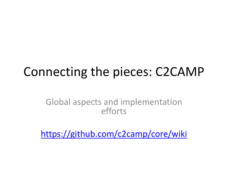### Connecting the pieces: C2CAMP

Global aspects and implementation efforts

<https://github.com/c2camp/core/wiki>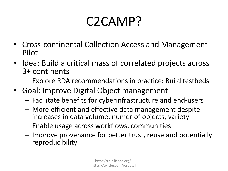# C2CAMP?

- Cross-continental Collection Access and Management Pilot
- Idea: Build a critical mass of correlated projects across 3+ continents
	- Explore RDA recommendations in practice: Build testbeds
- Goal: Improve Digital Object management
	- Facilitate benefits for cyberinfrastructure and end-users
	- More efficient and effective data management despite increases in data volume, numer of objects, variety
	- Enable usage across workflows, communities
	- Improve provenance for better trust, reuse and potentially reproducibility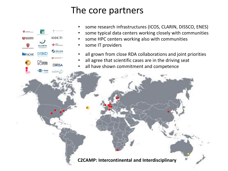#### The core partners

- some research infrastructures (ICOS, CLARIN, DISSCO, ENES)
- some typical data centers working closely with communities
- some HPC centers working also with communities
- some IT providers

 $ICOS$ 

JÜLICH

**CALC** Computer harborsk startestor

**DIRISA** 

 $s$ -enes

DEEP CARBON

NCAR

**DISSIC** 

N NATURAL

- all grown from close RDA collaborations and joint priorities
- all agree that scientific cases are in the driving seat
- all have shown commitment and competence

**C2CAMP: Intercontinental and Interdisciplinary**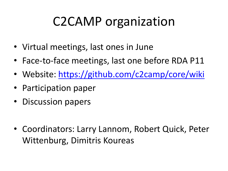# C2CAMP organization

- Virtual meetings, last ones in June
- Face-to-face meetings, last one before RDA P11
- Website:<https://github.com/c2camp/core/wiki>
- Participation paper
- Discussion papers
- Coordinators: Larry Lannom, Robert Quick, Peter Wittenburg, Dimitris Koureas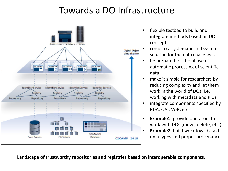### Towards a DO Infrastructure



- flexible testbed to build and integrate methods based on DO concept
- come to a systematic and systemic solution for the data challenges
- be prepared for the phase of automatic processing of scientific data
- make it simple for researchers by reducing complexity and let them work in the world of DOs, i.e. working with metadata and PIDs
- integrate components specified by RDA, OAI, W3C etc.
- **Example1:** provide operators to work with DOs (move, delete, etc.)
- **Example2: build workflows based** on a types and proper provenance

**Landscape of trustworthy repositories and registries based on interoperable components.**